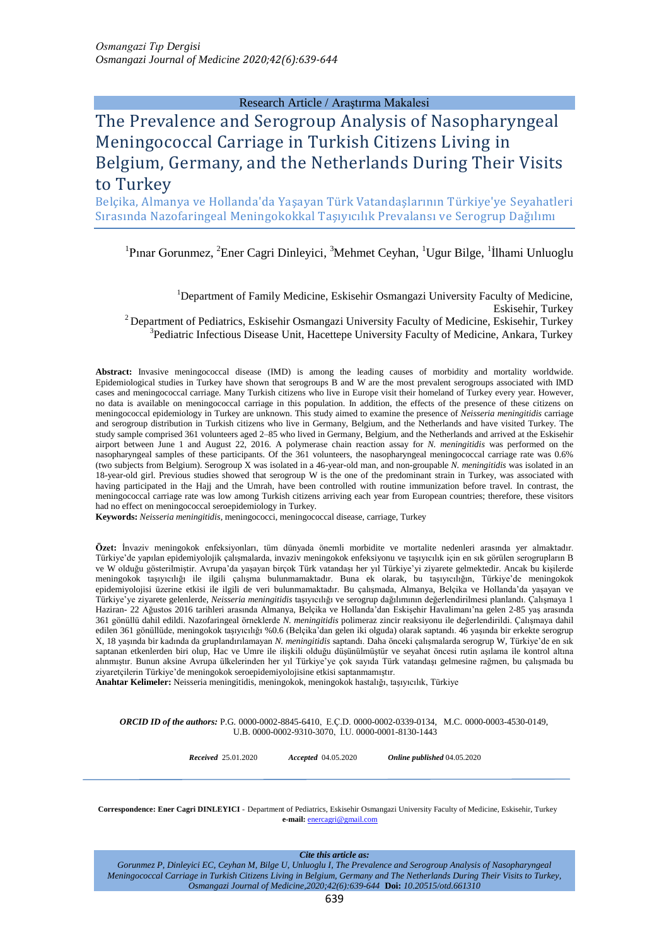Research Article / Araştırma Makalesi

# The Prevalence and Serogroup Analysis of Nasopharyngeal Meningococcal Carriage in Turkish Citizens Living in Belgium, Germany, and the Netherlands During Their Visits to Turkey

Belçika, Almanya ve Hollanda'da Yaşayan Türk Vatandaşlarının Türkiye'ye Seyahatleri Sırasında Nazofaringeal Meningokokkal Taşıyıcılık Prevalansı ve Serogrup Dağılımı

<sup>1</sup>[Pınar Gorunmez,](http://dergipark.org.tr/tr/search?q=P%C4%B1nar+G%C3%96R%C3%9CNMEZ§ion=author) <sup>2</sup>[Ener Cagri Dinleyici,](http://dergipark.org.tr/tr/search?q=Ener+Cagri+DINLEYICI§ion=author) <sup>3</sup>[Mehmet Ceyhan,](http://dergipark.org.tr/tr/search?q=M+CEYHAN§ion=author) <sup>1</sup>[Ugur Bilge,](mailto:Uğur%20İLGE) <sup>1</sup>İlhami [Unluoglu](http://dergipark.org.tr/tr/search?q=%C4%B0lhami+%C3%9CNL%C3%9CO%C4%9ELU§ion=author)

<sup>1</sup>Department of Family Medicine, Eskisehir Osmangazi University Faculty of Medicine, Eskisehir, Turkey <sup>2</sup> Department of Pediatrics, Eskisehir Osmangazi University Faculty of Medicine, Eskisehir, Turkey <sup>3</sup>Pediatric Infectious Disease Unit, Hacettepe University Faculty of Medicine, Ankara, Turkey

**Abstract:** Invasive meningococcal disease (IMD) is among the leading causes of morbidity and mortality worldwide. Epidemiological studies in Turkey have shown that serogroups B and W are the most prevalent serogroups associated with IMD cases and meningococcal carriage. Many Turkish citizens who live in Europe visit their homeland of Turkey every year. However, no data is available on meningococcal carriage in this population. In addition, the effects of the presence of these citizens on meningococcal epidemiology in Turkey are unknown. This study aimed to examine the presence of *Neisseria meningitidis* carriage and serogroup distribution in Turkish citizens who live in Germany, Belgium, and the Netherlands and have visited Turkey. The study sample comprised 361 volunteers aged 2–85 who lived in Germany, Belgium, and the Netherlands and arrived at the Eskisehir airport between June 1 and August 22, 2016. A polymerase chain reaction assay for *N. meningitidis* was performed on the nasopharyngeal samples of these participants. Of the 361 volunteers, the nasopharyngeal meningococcal carriage rate was 0.6% (two subjects from Belgium). Serogroup X was isolated in a 46-year-old man, and non-groupable *N. meningitidis* was isolated in an 18-year-old girl. Previous studies showed that serogroup W is the one of the predominant strain in Turkey, was associated with having participated in the Hajj and the Umrah, have been controlled with routine immunization before travel. In contrast, the meningococcal carriage rate was low among Turkish citizens arriving each year from European countries; therefore, these visitors had no effect on meningococcal seroepidemiology in Turkey.

**Keywords:** *Neisseria meningitidis*, meningococci, meningococcal disease, carriage, Turkey

**Özet:** İnvaziv meningokok enfeksiyonları, tüm dünyada önemli morbidite ve mortalite nedenleri arasında yer almaktadır. Türkiye'de yapılan epidemiyolojik çalışmalarda, invaziv meningokok enfeksiyonu ve taşıyıcılık için en sık görülen serogrupların B ve W olduğu gösterilmiştir. Avrupa'da yaşayan birçok Türk vatandaşı her yıl Türkiye'yi ziyarete gelmektedir. Ancak bu kişilerde meningokok taşıyıcılığı ile ilgili çalışma bulunmamaktadır. Buna ek olarak, bu taşıyıcılığın, Türkiye'de meningokok epidemiyolojisi üzerine etkisi ile ilgili de veri bulunmamaktadır. Bu çalışmada, Almanya, Belçika ve Hollanda'da yaşayan ve Türkiye'ye ziyarete gelenlerde, *Neisseria meningitidis* taşıyıcılığı ve serogrup dağılımının değerlendirilmesi planlandı. Çalışmaya 1 Haziran- 22 Ağustos 2016 tarihleri arasında Almanya, Belçika ve Hollanda'dan Eskişehir Havalimanı'na gelen 2-85 yaş arasında 361 gönüllü dahil edildi. Nazofaringeal örneklerde *N. meningitidis* polimeraz zincir reaksiyonu ile değerlendirildi. Çalışmaya dahil edilen 361 gönüllüde, meningokok taşıyıcılığı %0.6 (Belçika'dan gelen iki olguda) olarak saptandı. 46 yaşında bir erkekte serogrup X, 18 yaşında bir kadında da gruplandırılamayan *N. meningitidis* saptandı. Daha önceki çalışmalarda serogrup W, Türkiye'de en sık saptanan etkenlerden biri olup, Hac ve Umre ile ilişkili olduğu düşünülmüştür ve seyahat öncesi rutin aşılama ile kontrol altına alınmıştır. Bunun aksine Avrupa ülkelerinden her yıl Türkiye'ye çok sayıda Türk vatandaşı gelmesine rağmen, bu çalışmada bu ziyaretçilerin Türkiye'de meningokok seroepidemiyolojisine etkisi saptanmamıştır.

**Anahtar Kelimeler:** Neisseria meningitidis, meningokok, meningokok hastalığı, taşıyıcılık, Türkiye

*ORCID ID of the authors:* P.G. 0000-0002-8845-6410, E.Ç.D. 0000-0002-0339-0134, M.C. 0000-0003-4530-0149, U.B. 0000-0002-9310-3070, İ.U. 0000-0001-8130-1443

*Received* 25.01.2020 *Accepted* 04.05.2020 *Online published* 04.05.2020

**Correspondence: Ener Cagri DINLEYICI** - Department of Pediatrics, Eskisehir Osmangazi University Faculty of Medicine, Eskisehir, Turkey **e-mail:** [enercagri@gmail.com](mailto:enercagri@gmail.com)

*Cite this article as:* Gorunmez P, Dinleyici EC, Ceyhan M, Bilge U, Unluoglu I, The Prevalence and Serogroup Analysis of Nasopharyngeal *Meningococcal Carriage in Turkish Citizens Living in Belgium, Germany and The Netherlands During Their Visits to Turkey, Osmangazi Journal of Medicine,2020;42(6):639-644* **Doi:** *10.20515/otd.661310*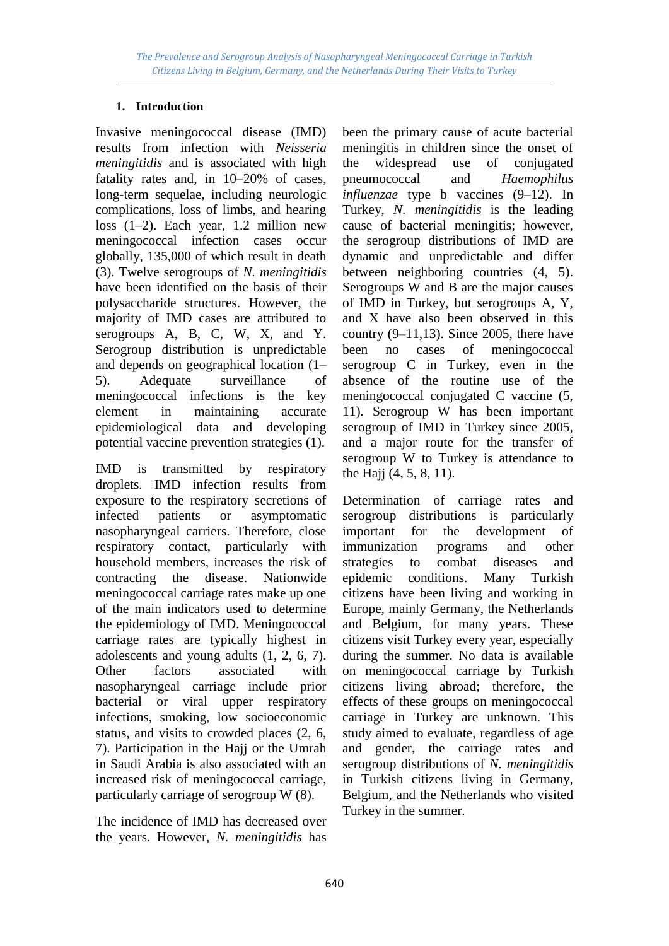### **1. Introduction**

Invasive meningococcal disease (IMD) results from infection with *Neisseria meningitidis* and is associated with high fatality rates and, in 10–20% of cases, long-term sequelae, including neurologic complications, loss of limbs, and hearing loss (1–2). Each year, 1.2 million new meningococcal infection cases occur globally, 135,000 of which result in death (3). Twelve serogroups of *N. meningitidis* have been identified on the basis of their polysaccharide structures. However, the majority of IMD cases are attributed to serogroups A, B, C, W, X, and Y. Serogroup distribution is unpredictable and depends on geographical location (1– 5). Adequate surveillance of meningococcal infections is the key element in maintaining accurate epidemiological data and developing potential vaccine prevention strategies (1).

IMD is transmitted by respiratory droplets. IMD infection results from exposure to the respiratory secretions of infected patients or asymptomatic nasopharyngeal carriers. Therefore, close respiratory contact, particularly with household members, increases the risk of contracting the disease. Nationwide meningococcal carriage rates make up one of the main indicators used to determine the epidemiology of IMD. Meningococcal carriage rates are typically highest in adolescents and young adults (1, 2, 6, 7). Other factors associated with nasopharyngeal carriage include prior bacterial or viral upper respiratory infections, smoking, low socioeconomic status, and visits to crowded places (2, 6, 7). Participation in the Hajj or the Umrah in Saudi Arabia is also associated with an increased risk of meningococcal carriage, particularly carriage of serogroup W (8).

The incidence of IMD has decreased over the years. However, *N. meningitidis* has

been the primary cause of acute bacterial meningitis in children since the onset of the widespread use of conjugated pneumococcal and *Haemophilus influenzae* type b vaccines (9–12). In Turkey, *N. meningitidis* is the leading cause of bacterial meningitis; however, the serogroup distributions of IMD are dynamic and unpredictable and differ between neighboring countries (4, 5). Serogroups W and B are the major causes of IMD in Turkey, but serogroups A, Y, and X have also been observed in this country  $(9-11,13)$ . Since 2005, there have been no cases of meningococcal serogroup C in Turkey, even in the absence of the routine use of the meningococcal conjugated C vaccine (5, 11). Serogroup W has been important serogroup of IMD in Turkey since 2005, and a major route for the transfer of serogroup W to Turkey is attendance to the Hajj (4, 5, 8, 11).

Determination of carriage rates and serogroup distributions is particularly important for the development of immunization programs and other strategies to combat diseases and epidemic conditions. Many Turkish citizens have been living and working in Europe, mainly Germany, the Netherlands and Belgium, for many years. These citizens visit Turkey every year, especially during the summer. No data is available on meningococcal carriage by Turkish citizens living abroad; therefore, the effects of these groups on meningococcal carriage in Turkey are unknown. This study aimed to evaluate, regardless of age and gender, the carriage rates and serogroup distributions of *N. meningitidis* in Turkish citizens living in Germany, Belgium, and the Netherlands who visited Turkey in the summer.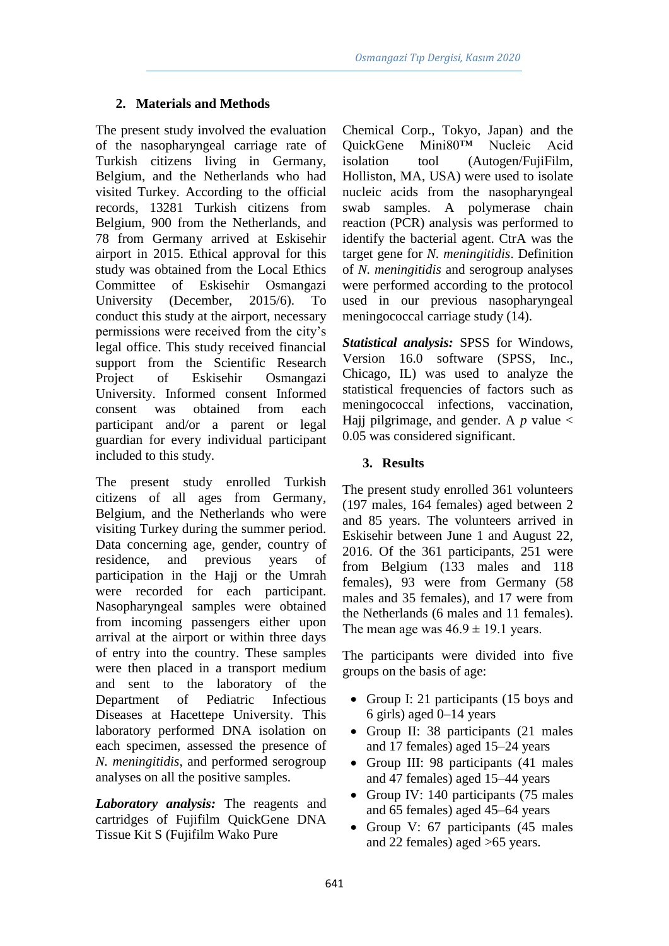# **2. Materials and Methods**

The present study involved the evaluation of the nasopharyngeal carriage rate of Turkish citizens living in Germany, Belgium, and the Netherlands who had visited Turkey. According to the official records, 13281 Turkish citizens from Belgium, 900 from the Netherlands, and 78 from Germany arrived at Eskisehir airport in 2015. Ethical approval for this study was obtained from the Local Ethics Committee of Eskisehir Osmangazi University (December, 2015/6). To conduct this study at the airport, necessary permissions were received from the city's legal office. This study received financial support from the Scientific Research Project of Eskisehir Osmangazi University. Informed consent Informed consent was obtained from each participant and/or a parent or legal guardian for every individual participant included to this study.

The present study enrolled Turkish citizens of all ages from Germany, Belgium, and the Netherlands who were visiting Turkey during the summer period. Data concerning age, gender, country of residence, and previous years of participation in the Hajj or the Umrah were recorded for each participant. Nasopharyngeal samples were obtained from incoming passengers either upon arrival at the airport or within three days of entry into the country. These samples were then placed in a transport medium and sent to the laboratory of the Department of Pediatric Infectious Diseases at Hacettepe University. This laboratory performed DNA isolation on each specimen, assessed the presence of *N. meningitidis*, and performed serogroup analyses on all the positive samples.

*Laboratory analysis:* The reagents and cartridges of Fujifilm QuickGene DNA Tissue Kit S (Fujifilm Wako Pure

Chemical Corp., Tokyo, Japan) and the QuickGene Mini80™ Nucleic Acid isolation tool (Autogen/FujiFilm, Holliston, MA, USA) were used to isolate nucleic acids from the nasopharyngeal swab samples. A polymerase chain reaction (PCR) analysis was performed to identify the bacterial agent. CtrA was the target gene for *N. meningitidis*. Definition of *N. meningitidis* and serogroup analyses were performed according to the protocol used in our previous nasopharyngeal meningococcal carriage study (14).

*Statistical analysis:* SPSS for Windows, Version 16.0 software (SPSS, Inc., Chicago, IL) was used to analyze the statistical frequencies of factors such as meningococcal infections, vaccination, Hajj pilgrimage, and gender. A  $p$  value  $\lt$ 0.05 was considered significant.

#### **3. Results**

The present study enrolled 361 volunteers (197 males, 164 females) aged between 2 and 85 years. The volunteers arrived in Eskisehir between June 1 and August 22, 2016. Of the 361 participants, 251 were from Belgium (133 males and 118 females), 93 were from Germany (58 males and 35 females), and 17 were from the Netherlands (6 males and 11 females). The mean age was  $46.9 \pm 19.1$  years.

The participants were divided into five groups on the basis of age:

- Group I: 21 participants (15 boys and 6 girls) aged 0–14 years
- Group II: 38 participants (21 males and 17 females) aged 15–24 years
- Group III: 98 participants (41 males and 47 females) aged 15–44 years
- Group IV: 140 participants (75 males) and 65 females) aged 45–64 years
- Group V: 67 participants (45 males and 22 females) aged >65 years.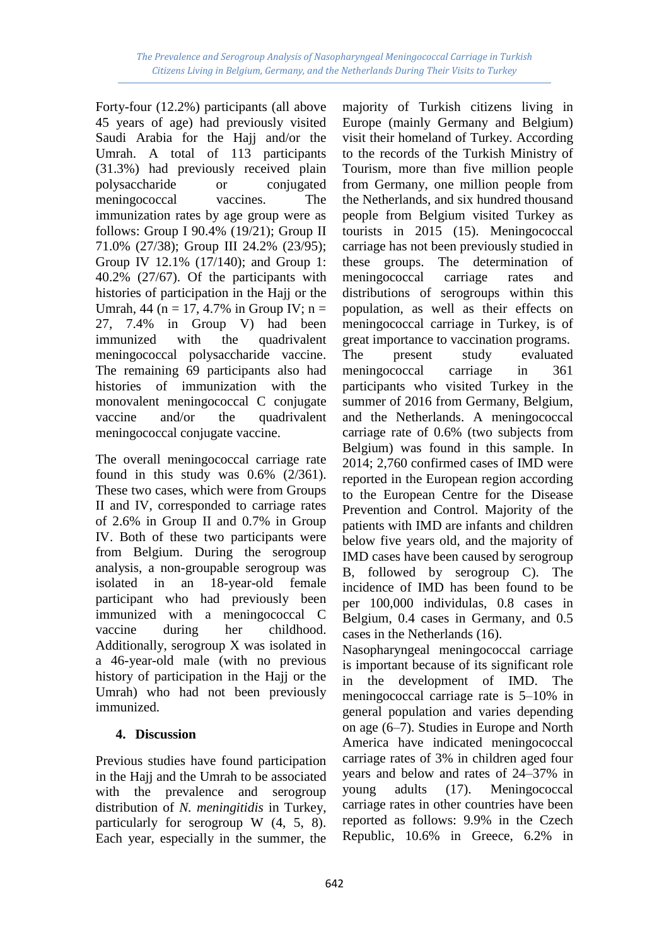Forty-four (12.2%) participants (all above 45 years of age) had previously visited Saudi Arabia for the Hajj and/or the Umrah. A total of 113 participants (31.3%) had previously received plain polysaccharide or conjugated meningococcal vaccines. The immunization rates by age group were as follows: Group I 90.4% (19/21); Group II 71.0% (27/38); Group III 24.2% (23/95); Group IV 12.1% (17/140); and Group 1: 40.2% (27/67). Of the participants with histories of participation in the Hajj or the Umrah, 44 (n = 17, 4.7% in Group IV; n = 27, 7.4% in Group V) had been immunized with the quadrivalent meningococcal polysaccharide vaccine. The remaining 69 participants also had histories of immunization with the monovalent meningococcal C conjugate vaccine and/or the quadrivalent meningococcal conjugate vaccine.

The overall meningococcal carriage rate found in this study was  $0.6\%$  (2/361). These two cases, which were from Groups II and IV, corresponded to carriage rates of 2.6% in Group II and 0.7% in Group IV. Both of these two participants were from Belgium. During the serogroup analysis, a non-groupable serogroup was isolated in an 18-year-old female participant who had previously been immunized with a meningococcal C vaccine during her childhood. Additionally, serogroup X was isolated in a 46-year-old male (with no previous history of participation in the Hajj or the Umrah) who had not been previously immunized.

## **4. Discussion**

Previous studies have found participation in the Hajj and the Umrah to be associated with the prevalence and serogroup distribution of *N. meningitidis* in Turkey, particularly for serogroup W (4, 5, 8). Each year, especially in the summer, the

majority of Turkish citizens living in Europe (mainly Germany and Belgium) visit their homeland of Turkey. According to the records of the Turkish Ministry of Tourism, more than five million people from Germany, one million people from the Netherlands, and six hundred thousand people from Belgium visited Turkey as tourists in 2015 (15). Meningococcal carriage has not been previously studied in these groups. The determination of meningococcal carriage rates and distributions of serogroups within this population, as well as their effects on meningococcal carriage in Turkey, is of great importance to vaccination programs. The present study evaluated meningococcal carriage in 361 participants who visited Turkey in the summer of 2016 from Germany, Belgium, and the Netherlands. A meningococcal carriage rate of 0.6% (two subjects from Belgium) was found in this sample. In 2014; 2,760 confirmed cases of IMD were reported in the European region according to the European Centre for the Disease Prevention and Control. Majority of the patients with IMD are infants and children below five years old, and the majority of IMD cases have been caused by serogroup B, followed by serogroup C). The incidence of IMD has been found to be per 100,000 individulas, 0.8 cases in Belgium, 0.4 cases in Germany, and 0.5 cases in the Netherlands (16).

Nasopharyngeal meningococcal carriage is important because of its significant role in the development of IMD. The meningococcal carriage rate is 5–10% in general population and varies depending on age (6–7). Studies in Europe and North America have indicated meningococcal carriage rates of 3% in children aged four years and below and rates of 24–37% in young adults (17). Meningococcal carriage rates in other countries have been reported as follows: 9.9% in the Czech Republic, 10.6% in Greece, 6.2% in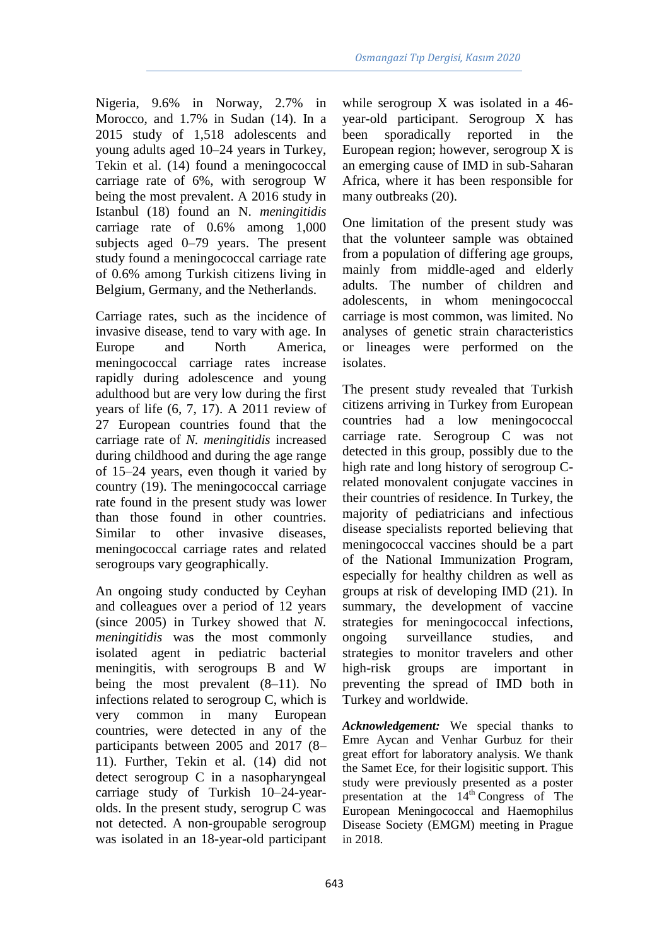Nigeria, 9.6% in Norway, 2.7% in Morocco, and 1.7% in Sudan (14). In a 2015 study of 1,518 adolescents and young adults aged 10–24 years in Turkey, Tekin et al. (14) found a meningococcal carriage rate of 6%, with serogroup W being the most prevalent. A 2016 study in Istanbul (18) found an N. *meningitidis*  carriage rate of 0.6% among 1,000 subjects aged 0–79 years. The present study found a meningococcal carriage rate of 0.6% among Turkish citizens living in Belgium, Germany, and the Netherlands.

Carriage rates, such as the incidence of invasive disease, tend to vary with age. In Europe and North America, meningococcal carriage rates increase rapidly during adolescence and young adulthood but are very low during the first years of life (6, 7, 17). A 2011 review of 27 European countries found that the carriage rate of *N. meningitidis* increased during childhood and during the age range of 15–24 years, even though it varied by country (19). The meningococcal carriage rate found in the present study was lower than those found in other countries. Similar to other invasive diseases, meningococcal carriage rates and related serogroups vary geographically.

An ongoing study conducted by Ceyhan and colleagues over a period of 12 years (since 2005) in Turkey showed that *N. meningitidis* was the most commonly isolated agent in pediatric bacterial meningitis, with serogroups B and W being the most prevalent (8–11). No infections related to serogroup C, which is very common in many European countries, were detected in any of the participants between 2005 and 2017 (8– 11). Further, Tekin et al. (14) did not detect serogroup C in a nasopharyngeal carriage study of Turkish 10–24-yearolds. In the present study, serogrup C was not detected. A non-groupable serogroup was isolated in an 18-year-old participant

while serogroup X was isolated in a 46 year-old participant. Serogroup X has been sporadically reported in the European region; however, serogroup X is an emerging cause of IMD in sub-Saharan Africa, where it has been responsible for many outbreaks (20).

One limitation of the present study was that the volunteer sample was obtained from a population of differing age groups, mainly from middle-aged and elderly adults. The number of children and adolescents, in whom meningococcal carriage is most common, was limited. No analyses of genetic strain characteristics or lineages were performed on the isolates.

The present study revealed that Turkish citizens arriving in Turkey from European countries had a low meningococcal carriage rate. Serogroup C was not detected in this group, possibly due to the high rate and long history of serogroup Crelated monovalent conjugate vaccines in their countries of residence. In Turkey, the majority of pediatricians and infectious disease specialists reported believing that meningococcal vaccines should be a part of the National Immunization Program, especially for healthy children as well as groups at risk of developing IMD (21). In summary, the development of vaccine strategies for meningococcal infections, ongoing surveillance studies, and strategies to monitor travelers and other high-risk groups are important in preventing the spread of IMD both in Turkey and worldwide.

*Acknowledgement:* We special thanks to Emre Aycan and Venhar Gurbuz for their great effort for laboratory analysis. We thank the Samet Ece, for their logisitic support. This study were previously presented as a poster presentation at the  $14<sup>th</sup>$  Congress of The European Meningococcal and Haemophilus Disease Society (EMGM) meeting in Prague in 2018.